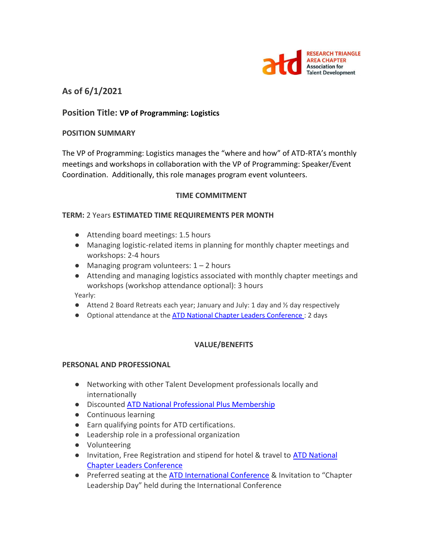

# **As of 6/1/2021**

## **Position Title: VP of Programming: Logistics**

#### **POSITION SUMMARY**

The VP of Programming: Logistics manages the "where and how" of ATD-RTA's monthly meetings and workshops in collaboration with the VP of Programming: Speaker/Event Coordination. Additionally, this role manages program event volunteers.

#### **TIME COMMITMENT**

#### **TERM:** 2 Years **ESTIMATED TIME REQUIREMENTS PER MONTH**

- Attending board meetings: 1.5 hours
- Managing logistic-related items in planning for monthly chapter meetings and workshops: 2-4 hours
- $\bullet$  Managing program volunteers:  $1 2$  hours
- Attending and managing logistics associated with monthly chapter meetings and workshops (workshop attendance optional): 3 hours

Yearly:

- $\bullet$  Attend 2 Board Retreats each year; January and July: 1 day and  $\frac{1}{2}$  day respectively
- Optional attendance at the [ATD National Chapter Leaders Conference :](https://events.td.org/Chapter-Leaders-Conference) 2 days

### **VALUE/BENEFITS**

#### **PERSONAL AND PROFESSIONAL**

- Networking with other Talent Development professionals locally and internationally
- Discounted [ATD National Professional Plus Membership](https://checkout.td.org/Membership)
- Continuous learning
- Earn qualifying points for ATD certifications.
- Leadership role in a professional organization
- Volunteering
- Invitation, Free Registration and stipend for hotel & travel to **ATD National** [Chapter Leaders Conference](https://events.td.org/Chapter-Leaders-Conference)
- Preferred seating at the [ATD International Conference](https://www.td.org/events) & Invitation to "Chapter Leadership Day" held during the International Conference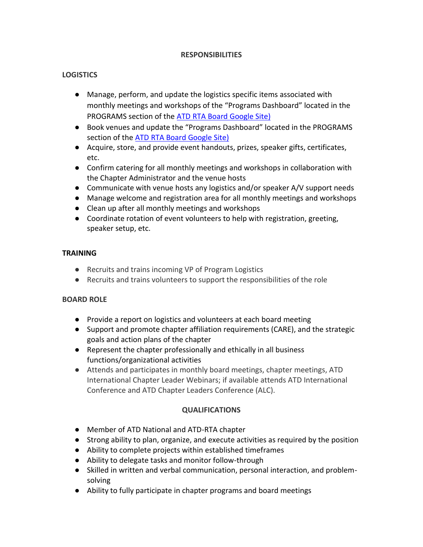### **RESPONSIBILITIES**

# **LOGISTICS**

- Manage, perform, and update the logistics specific items associated with monthly meetings and workshops of the "Programs Dashboard" located in the PROGRAMS section of th[e ATD RTA Board Google Site\)](https://sites.google.com/site/rtaboardofdirectors/home)
- Book venues and update the "Programs Dashboard" located in the PROGRAMS section of the [ATD RTA Board Google Site\)](https://sites.google.com/site/rtaboardofdirectors/home)
- Acquire, store, and provide event handouts, prizes, speaker gifts, certificates, etc.
- Confirm catering for all monthly meetings and workshops in collaboration with the Chapter Administrator and the venue hosts
- Communicate with venue hosts any logistics and/or speaker A/V support needs
- Manage welcome and registration area for all monthly meetings and workshops
- Clean up after all monthly meetings and workshops
- Coordinate rotation of event volunteers to help with registration, greeting, speaker setup, etc.

### **TRAINING**

- Recruits and trains incoming VP of Program Logistics
- Recruits and trains volunteers to support the responsibilities of the role

# **BOARD ROLE**

- Provide a report on logistics and volunteers at each board meeting
- Support and promote chapter affiliation requirements (CARE), and the strategic goals and action plans of the chapter
- Represent the chapter professionally and ethically in all business functions/organizational activities
- Attends and participates in monthly board meetings, chapter meetings, ATD International Chapter Leader Webinars; if available attends ATD International Conference and ATD Chapter Leaders Conference (ALC).

# **QUALIFICATIONS**

- Member of ATD National and ATD-RTA chapter
- Strong ability to plan, organize, and execute activities as required by the position
- Ability to complete projects within established timeframes
- Ability to delegate tasks and monitor follow-through
- Skilled in written and verbal communication, personal interaction, and problemsolving
- Ability to fully participate in chapter programs and board meetings